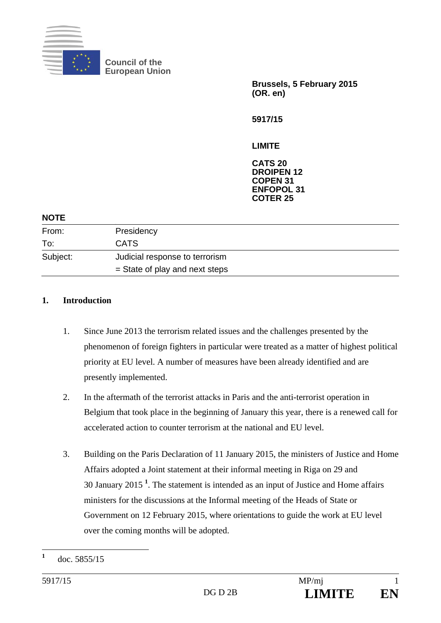

**Council of the European Union** 

> **Brussels, 5 February 2015 (OR. en)**

**5917/15** 

**LIMITE** 

**CATS 20 DROIPEN 12 COPEN 31 ENFOPOL 31 COTER 25** 

| <b>NOTE</b> |                                  |
|-------------|----------------------------------|
| From:       | Presidency                       |
| To:         | <b>CATS</b>                      |
| Subject:    | Judicial response to terrorism   |
|             | $=$ State of play and next steps |
|             |                                  |

#### **1. Introduction**

- 1. Since June 2013 the terrorism related issues and the challenges presented by the phenomenon of foreign fighters in particular were treated as a matter of highest political priority at EU level. A number of measures have been already identified and are presently implemented.
- 2. In the aftermath of the terrorist attacks in Paris and the anti-terrorist operation in Belgium that took place in the beginning of January this year, there is a renewed call for accelerated action to counter terrorism at the national and EU level.
- 3. Building on the Paris Declaration of 11 January 2015, the ministers of Justice and Home Affairs adopted a Joint statement at their informal meeting in Riga on 29 and 30 January 2015 **<sup>1</sup>** . The statement is intended as an input of Justice and Home affairs ministers for the discussions at the Informal meeting of the Heads of State or Government on 12 February 2015, where orientations to guide the work at EU level over the coming months will be adopted.

 **1** doc. 5855/15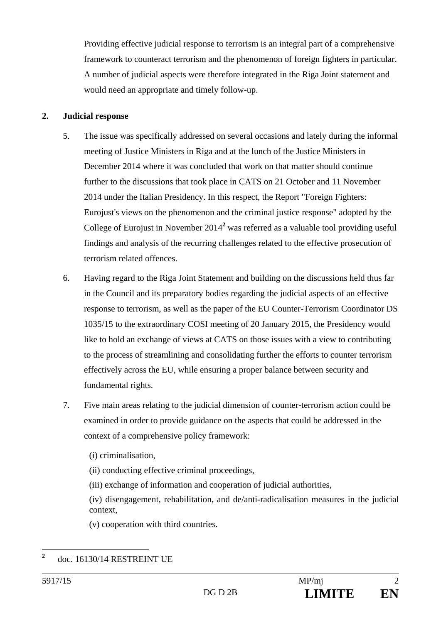Providing effective judicial response to terrorism is an integral part of a comprehensive framework to counteract terrorism and the phenomenon of foreign fighters in particular. A number of judicial aspects were therefore integrated in the Riga Joint statement and would need an appropriate and timely follow-up.

#### **2. Judicial response**

- 5. The issue was specifically addressed on several occasions and lately during the informal meeting of Justice Ministers in Riga and at the lunch of the Justice Ministers in December 2014 where it was concluded that work on that matter should continue further to the discussions that took place in CATS on 21 October and 11 November 2014 under the Italian Presidency. In this respect, the Report "Foreign Fighters: Eurojust's views on the phenomenon and the criminal justice response" adopted by the College of Eurojust in November 2014**<sup>2</sup>** was referred as a valuable tool providing useful findings and analysis of the recurring challenges related to the effective prosecution of terrorism related offences.
- 6. Having regard to the Riga Joint Statement and building on the discussions held thus far in the Council and its preparatory bodies regarding the judicial aspects of an effective response to terrorism, as well as the paper of the EU Counter-Terrorism Coordinator DS 1035/15 to the extraordinary COSI meeting of 20 January 2015, the Presidency would like to hold an exchange of views at CATS on those issues with a view to contributing to the process of streamlining and consolidating further the efforts to counter terrorism effectively across the EU, while ensuring a proper balance between security and fundamental rights.
- 7. Five main areas relating to the judicial dimension of counter-terrorism action could be examined in order to provide guidance on the aspects that could be addressed in the context of a comprehensive policy framework:
	- (i) criminalisation,
	- (ii) conducting effective criminal proceedings,
	- (iii) exchange of information and cooperation of judicial authorities,

(iv) disengagement, rehabilitation, and de/anti*-*radicalisation measures in the judicial context,

(v) cooperation with third countries.

 **2** doc. 16130/14 RESTREINT UE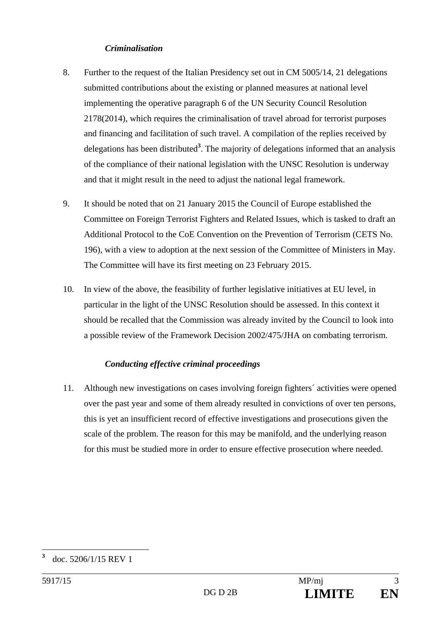#### *Criminalisation*

- 8. Further to the request of the Italian Presidency set out in CM 5005/14, 21 delegations submitted contributions about the existing or planned measures at national level implementing the operative paragraph 6 of the UN Security Council Resolution 2178(2014), which requires the criminalisation of travel abroad for terrorist purposes and financing and facilitation of such travel. A compilation of the replies received by delegations has been distributed**<sup>3</sup>** . The majority of delegations informed that an analysis of the compliance of their national legislation with the UNSC Resolution is underway and that it might result in the need to adjust the national legal framework.
- 9. It should be noted that on 21 January 2015 the Council of Europe established the Committee on Foreign Terrorist Fighters and Related Issues, which is tasked to draft an Additional Protocol to the CoE Convention on the Prevention of Terrorism (CETS No. 196), with a view to adoption at the next session of the Committee of Ministers in May. The Committee will have its first meeting on 23 February 2015.
- 10. In view of the above, the feasibility of further legislative initiatives at EU level, in particular in the light of the UNSC Resolution should be assessed. In this context it should be recalled that the Commission was already invited by the Council to look into a possible review of the Framework Decision 2002/475/JHA on combating terrorism.

# *Conducting effective criminal proceedings*

11. Although new investigations on cases involving foreign fighters´ activities were opened over the past year and some of them already resulted in convictions of over ten persons, this is yet an insufficient record of effective investigations and prosecutions given the scale of the problem. The reason for this may be manifold, and the underlying reason for this must be studied more in order to ensure effective prosecution where needed.

 **3** doc. 5206/1/15 REV 1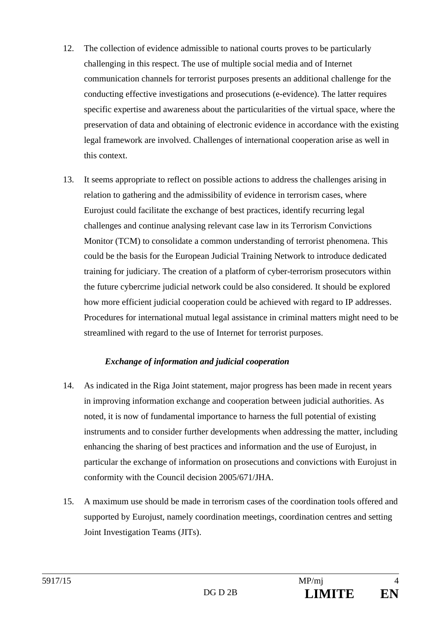- 12. The collection of evidence admissible to national courts proves to be particularly challenging in this respect. The use of multiple social media and of Internet communication channels for terrorist purposes presents an additional challenge for the conducting effective investigations and prosecutions (e-evidence). The latter requires specific expertise and awareness about the particularities of the virtual space, where the preservation of data and obtaining of electronic evidence in accordance with the existing legal framework are involved. Challenges of international cooperation arise as well in this context.
- 13. It seems appropriate to reflect on possible actions to address the challenges arising in relation to gathering and the admissibility of evidence in terrorism cases, where Eurojust could facilitate the exchange of best practices, identify recurring legal challenges and continue analysing relevant case law in its Terrorism Convictions Monitor (TCM) to consolidate a common understanding of terrorist phenomena. This could be the basis for the European Judicial Training Network to introduce dedicated training for judiciary. The creation of a platform of cyber-terrorism prosecutors within the future cybercrime judicial network could be also considered. It should be explored how more efficient judicial cooperation could be achieved with regard to IP addresses. Procedures for international mutual legal assistance in criminal matters might need to be streamlined with regard to the use of Internet for terrorist purposes.

# *Exchange of information and judicial cooperation*

- 14. As indicated in the Riga Joint statement, major progress has been made in recent years in improving information exchange and cooperation between judicial authorities. As noted, it is now of fundamental importance to harness the full potential of existing instruments and to consider further developments when addressing the matter, including enhancing the sharing of best practices and information and the use of Eurojust, in particular the exchange of information on prosecutions and convictions with Eurojust in conformity with the Council decision 2005/671/JHA.
- 15. A maximum use should be made in terrorism cases of the coordination tools offered and supported by Eurojust, namely coordination meetings, coordination centres and setting Joint Investigation Teams (JITs).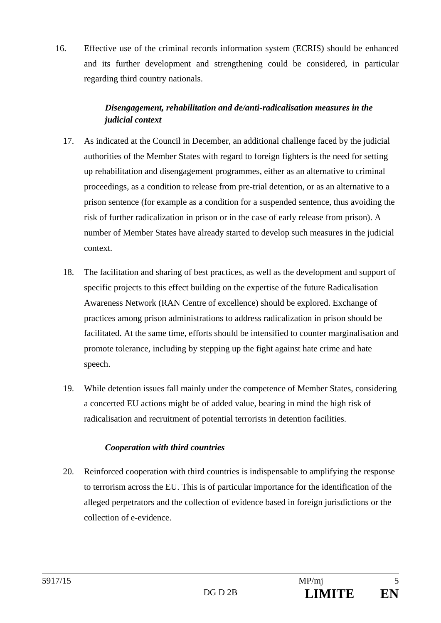16. Effective use of the criminal records information system (ECRIS) should be enhanced and its further development and strengthening could be considered, in particular regarding third country nationals.

# *Disengagement, rehabilitation and de/anti-radicalisation measures in the judicial context*

- 17. As indicated at the Council in December, an additional challenge faced by the judicial authorities of the Member States with regard to foreign fighters is the need for setting up rehabilitation and disengagement programmes, either as an alternative to criminal proceedings, as a condition to release from pre-trial detention, or as an alternative to a prison sentence (for example as a condition for a suspended sentence, thus avoiding the risk of further radicalization in prison or in the case of early release from prison). A number of Member States have already started to develop such measures in the judicial context.
- 18. The facilitation and sharing of best practices, as well as the development and support of specific projects to this effect building on the expertise of the future Radicalisation Awareness Network (RAN Centre of excellence) should be explored. Exchange of practices among prison administrations to address radicalization in prison should be facilitated. At the same time, efforts should be intensified to counter marginalisation and promote tolerance, including by stepping up the fight against hate crime and hate speech.
- 19. While detention issues fall mainly under the competence of Member States, considering a concerted EU actions might be of added value, bearing in mind the high risk of radicalisation and recruitment of potential terrorists in detention facilities.

# *Cooperation with third countries*

20. Reinforced cooperation with third countries is indispensable to amplifying the response to terrorism across the EU. This is of particular importance for the identification of the alleged perpetrators and the collection of evidence based in foreign jurisdictions or the collection of e-evidence.